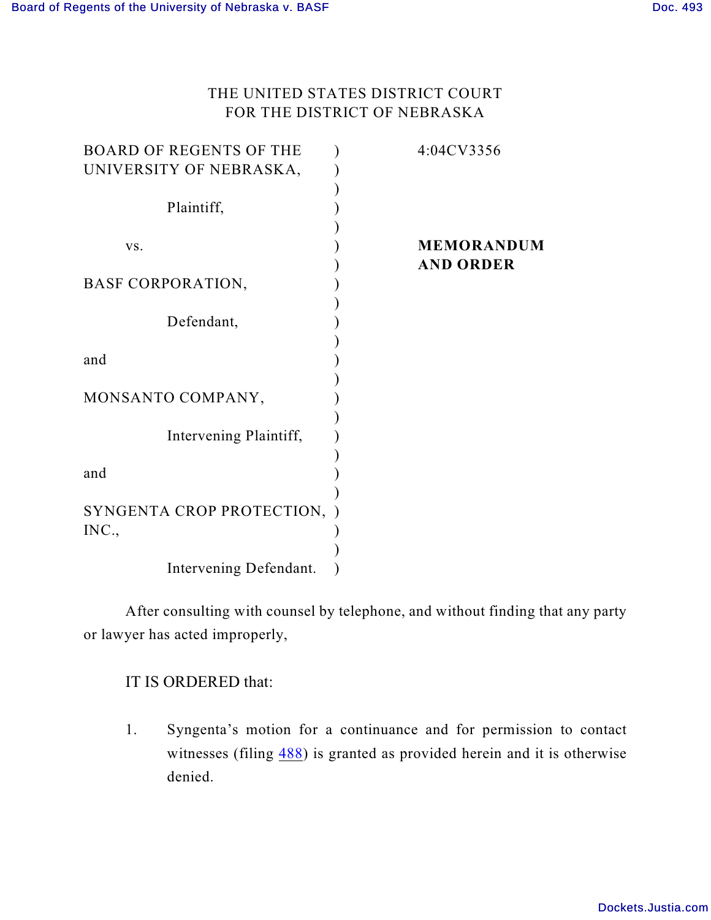## THE UNITED STATES DISTRICT COURT FOR THE DISTRICT OF NEBRASKA

|                           | 4:04CV3356        |
|---------------------------|-------------------|
|                           |                   |
|                           |                   |
|                           |                   |
|                           |                   |
|                           | <b>MEMORANDUM</b> |
|                           | <b>AND ORDER</b>  |
|                           |                   |
|                           |                   |
|                           |                   |
|                           |                   |
|                           |                   |
|                           |                   |
|                           |                   |
|                           |                   |
|                           |                   |
|                           |                   |
|                           |                   |
|                           |                   |
|                           |                   |
|                           |                   |
|                           |                   |
|                           |                   |
| SYNGENTA CROP PROTECTION, |                   |

After consulting with counsel by telephone, and without finding that any party or lawyer has acted improperly,

## IT IS ORDERED that:

1. Syngenta's motion for a continuance and for permission to contact witnesses (filing  $\frac{488}{3}$  $\frac{488}{3}$  $\frac{488}{3}$ ) is granted as provided herein and it is otherwise denied.